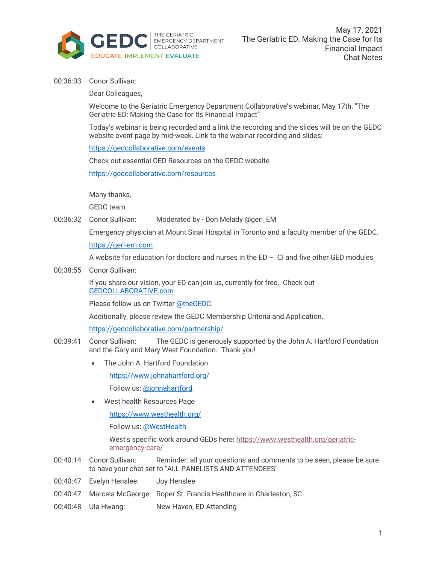

00:36:03 Conor Sullivan:

Dear Colleagues,

Welcome to the Geriatric Emergency Department Collaborative's webinar, May 17th, "The Geriatric ED: Making the Case for Its Financial Impact"

Today's webinar is being recorded and a link the recording and the slides will be on the GEDC website event page by mid-week. Link to the webinar recording and slides:

https://gedcollaborative.com/events

Check out essential GED Resources on the GEDC website

https://gedcollaborative.com/resources

Many thanks,

GEDC team

00:36:32 Conor Sullivan: Moderated by - Don Melady @geri\_EM

Emergency physician at Mount Sinai Hospital in Toronto and a faculty member of the GEDC.

https://geri-em.com

A website for education for doctors and nurses in the  $ED - CI$  and five other GED modules

00:38:55 Conor Sullivan:

If you share our vision, your ED can join us, currently for free. Check out GEDCOLLABORATIVE.com

Please follow us on Twitter @theGEDC.

Additionally, please review the GEDC Membership Criteria and Application.

https://gedcollaborative.com/partnership/

- 00:39:41 Conor Sullivan: The GEDC is generously supported by the John A. Hartford Foundation and the Gary and Mary West Foundation. Thank you!
	- The John A. Hartford Foundation

https://www.johnahartford.org/

Follow us: @johnahartford

• West health Resources Page

https://www.westhealth.org/

Follow us: @WestHealth

West's specific work around GEDs here: https://www.westhealth.org/geriatricemergency-care/

- 00:40:14 Conor Sullivan: Reminder: all your questions and comments to be seen, please be sure to have your chat set to "ALL PANELISTS AND ATTENDEES"
- 00:40:47 Evelyn Henslee: Joy Henslee
- 00:40:47 Marcela McGeorge: Roper St. Francis Healthcare in Charleston, SC
- 00:40:48 Ula Hwang: New Haven, ED Attending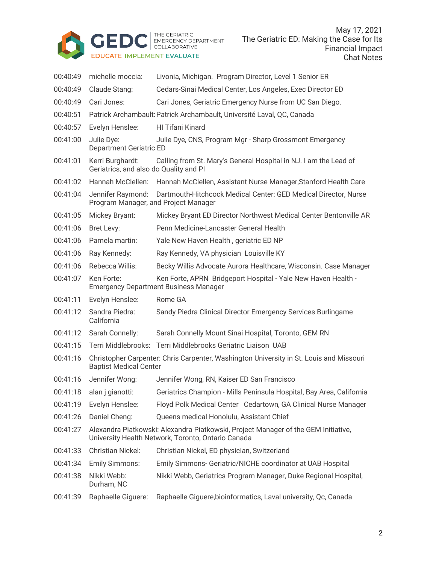

May 17, 2021 The Geriatric ED: Making the Case for Its Financial Impact Chat Notes

| 00:40:49 | michelle moccia:                                                                                                                         | Livonia, Michigan. Program Director, Level 1 Senior ER                                         |
|----------|------------------------------------------------------------------------------------------------------------------------------------------|------------------------------------------------------------------------------------------------|
| 00:40:49 | Claude Stang:                                                                                                                            | Cedars-Sinai Medical Center, Los Angeles, Exec Director ED                                     |
| 00:40:49 | Cari Jones:                                                                                                                              | Cari Jones, Geriatric Emergency Nurse from UC San Diego.                                       |
| 00:40:51 | Patrick Archambault: Patrick Archambault, Université Laval, QC, Canada                                                                   |                                                                                                |
| 00:40:57 | Evelyn Henslee:                                                                                                                          | HI Tifani Kinard                                                                               |
| 00:41:00 | Julie Dye:<br><b>Department Geriatric ED</b>                                                                                             | Julie Dye, CNS, Program Mgr - Sharp Grossmont Emergency                                        |
| 00:41:01 | Kerri Burghardt:<br>Geriatrics, and also do Quality and PI                                                                               | Calling from St. Mary's General Hospital in NJ. I am the Lead of                               |
| 00:41:02 | Hannah McClellen:                                                                                                                        | Hannah McClellen, Assistant Nurse Manager, Stanford Health Care                                |
| 00:41:04 | Jennifer Raymond:<br>Dartmouth-Hitchcock Medical Center: GED Medical Director, Nurse<br>Program Manager, and Project Manager             |                                                                                                |
| 00:41:05 | <b>Mickey Bryant:</b>                                                                                                                    | Mickey Bryant ED Director Northwest Medical Center Bentonville AR                              |
| 00:41:06 | Bret Levy:                                                                                                                               | Penn Medicine-Lancaster General Health                                                         |
| 00:41:06 | Pamela martin:                                                                                                                           | Yale New Haven Health, geriatric ED NP                                                         |
| 00:41:06 | Ray Kennedy:                                                                                                                             | Ray Kennedy, VA physician Louisville KY                                                        |
| 00:41:06 | Rebecca Willis:                                                                                                                          | Becky Willis Advocate Aurora Healthcare, Wisconsin. Case Manager                               |
| 00:41:07 | Ken Forte:<br>Ken Forte, APRN Bridgeport Hospital - Yale New Haven Health -<br><b>Emergency Department Business Manager</b>              |                                                                                                |
| 00:41:11 | Evelyn Henslee:                                                                                                                          | Rome GA                                                                                        |
| 00:41:12 | Sandra Piedra:<br>California                                                                                                             | Sandy Piedra Clinical Director Emergency Services Burlingame                                   |
| 00:41:12 | Sarah Connelly:                                                                                                                          | Sarah Connelly Mount Sinai Hospital, Toronto, GEM RN                                           |
| 00:41:15 |                                                                                                                                          | Terri Middlebrooks: Terri Middlebrooks Geriatric Liaison UAB                                   |
| 00:41:16 | Christopher Carpenter: Chris Carpenter, Washington University in St. Louis and Missouri<br><b>Baptist Medical Center</b>                 |                                                                                                |
| 00:41:16 | Jennifer Wong:                                                                                                                           | Jennifer Wong, RN, Kaiser ED San Francisco                                                     |
|          |                                                                                                                                          | 00:41:18 alan j gianotti: Geriatrics Champion - Mills Peninsula Hospital, Bay Area, California |
| 00:41:19 | Evelyn Henslee:                                                                                                                          | Floyd Polk Medical Center Cedartown, GA Clinical Nurse Manager                                 |
| 00:41:26 | Daniel Cheng:                                                                                                                            | Queens medical Honolulu, Assistant Chief                                                       |
| 00:41:27 | Alexandra Piatkowski: Alexandra Piatkowski, Project Manager of the GEM Initiative,<br>University Health Network, Toronto, Ontario Canada |                                                                                                |
| 00:41:33 | <b>Christian Nickel:</b>                                                                                                                 | Christian Nickel, ED physician, Switzerland                                                    |
| 00:41:34 | <b>Emily Simmons:</b>                                                                                                                    | Emily Simmons- Geriatric/NICHE coordinator at UAB Hospital                                     |
| 00:41:38 | Nikki Webb:<br>Durham, NC                                                                                                                | Nikki Webb, Geriatrics Program Manager, Duke Regional Hospital,                                |
| 00:41:39 | Raphaelle Giguere:                                                                                                                       | Raphaelle Giguere, bioinformatics, Laval university, Qc, Canada                                |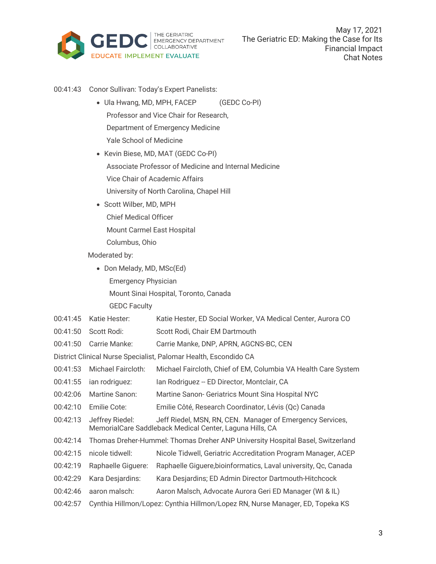

- 00:41:43 Conor Sullivan: Today's Expert Panelists:
	- Ula Hwang, MD, MPH, FACEP (GEDC Co-PI) Professor and Vice Chair for Research, Department of Emergency Medicine Yale School of Medicine
	- Kevin Biese, MD, MAT (GEDC Co-PI) Associate Professor of Medicine and Internal Medicine Vice Chair of Academic Affairs University of North Carolina, Chapel Hill
	- Scott Wilber, MD, MPH Chief Medical Officer Mount Carmel East Hospital Columbus, Ohio
	- Moderated by:
		- Don Melady, MD, MSc(Ed) Emergency Physician Mount Sinai Hospital, Toronto, Canada GEDC Faculty
- 00:41:45 Katie Hester: Katie Hester, ED Social Worker, VA Medical Center, Aurora CO
- 00:41:50 Scott Rodi: Scott Rodi, Chair EM Dartmouth
- 00:41:50 Carrie Manke: Carrie Manke, DNP, APRN, AGCNS-BC, CEN
- District Clinical Nurse Specialist, Palomar Health, Escondido CA
- 00:41:53 Michael Faircloth: Michael Faircloth, Chief of EM, Columbia VA Health Care System
- 00:41:55 ian rodriguez: Ian Rodriguez -- ED Director, Montclair, CA
- 00:42:06 Martine Sanon: Martine Sanon- Geriatrics Mount Sina Hospital NYC
- 00:42:10 Emilie Cote: Emilie Côté, Research Coordinator, Lévis (Qc) Canada
- 00:42:13 Jeffrey Riedel: Jeff Riedel, MSN, RN, CEN. Manager of Emergency Services, MemorialCare Saddleback Medical Center, Laguna Hills, CA
- 00:42:14 Thomas Dreher-Hummel: Thomas Dreher ANP University Hospital Basel, Switzerland
- 00:42:15 nicole tidwell: Nicole Tidwell, Geriatric Accreditation Program Manager, ACEP
- 00:42:19 Raphaelle Giguere: Raphaelle Giguere,bioinformatics, Laval university, Qc, Canada
- 00:42:29 Kara Desjardins: Kara Desjardins; ED Admin Director Dartmouth-Hitchcock
- 00:42:46 aaron malsch: Aaron Malsch, Advocate Aurora Geri ED Manager (WI & IL)
- 00:42:57 Cynthia Hillmon/Lopez: Cynthia Hillmon/Lopez RN, Nurse Manager, ED, Topeka KS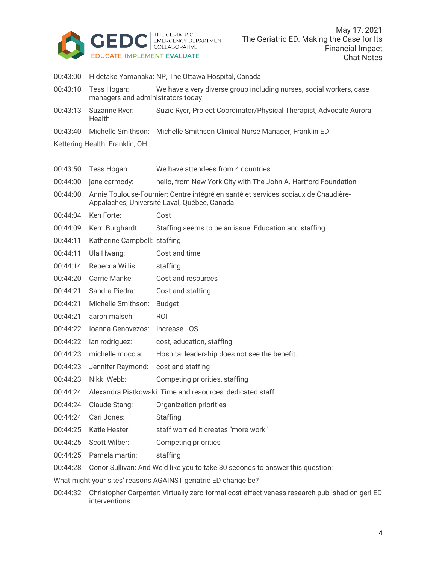

| 00:43:00                                                       |                                                                                                                                    | Hidetake Yamanaka: NP, The Ottawa Hospital, Canada                                     |  |
|----------------------------------------------------------------|------------------------------------------------------------------------------------------------------------------------------------|----------------------------------------------------------------------------------------|--|
| 00:43:10                                                       | Tess Hogan:<br>managers and administrators today                                                                                   | We have a very diverse group including nurses, social workers, case                    |  |
| 00:43:13                                                       | Suzanne Ryer:<br>Health                                                                                                            | Suzie Ryer, Project Coordinator/Physical Therapist, Advocate Aurora                    |  |
| 00:43:40                                                       | Michelle Smithson:                                                                                                                 | Michelle Smithson Clinical Nurse Manager, Franklin ED                                  |  |
| Kettering Health- Franklin, OH                                 |                                                                                                                                    |                                                                                        |  |
|                                                                |                                                                                                                                    |                                                                                        |  |
| 00:43:50                                                       | Tess Hogan:                                                                                                                        | We have attendees from 4 countries                                                     |  |
| 00:44:00                                                       | jane carmody:                                                                                                                      | hello, from New York City with The John A. Hartford Foundation                         |  |
| 00:44:00                                                       | Annie Toulouse-Fournier: Centre intégré en santé et services sociaux de Chaudière-<br>Appalaches, Université Laval, Québec, Canada |                                                                                        |  |
| 00:44:04                                                       | Ken Forte:                                                                                                                         | Cost                                                                                   |  |
| 00:44:09                                                       | Kerri Burghardt:                                                                                                                   | Staffing seems to be an issue. Education and staffing                                  |  |
| 00:44:11                                                       | Katherine Campbell: staffing                                                                                                       |                                                                                        |  |
| 00:44:11                                                       | Ula Hwang:                                                                                                                         | Cost and time                                                                          |  |
| 00:44:14                                                       | Rebecca Willis:                                                                                                                    | staffing                                                                               |  |
| 00:44:20                                                       | Carrie Manke:                                                                                                                      | Cost and resources                                                                     |  |
| 00:44:21                                                       | Sandra Piedra:                                                                                                                     | Cost and staffing                                                                      |  |
| 00:44:21                                                       | Michelle Smithson:                                                                                                                 | <b>Budget</b>                                                                          |  |
| 00:44:21                                                       | aaron malsch:                                                                                                                      | <b>ROI</b>                                                                             |  |
| 00:44:22                                                       | Ioanna Genovezos:                                                                                                                  | Increase LOS                                                                           |  |
| 00:44:22                                                       | ian rodriguez:                                                                                                                     | cost, education, staffing                                                              |  |
| 00:44:23                                                       | michelle moccia:                                                                                                                   | Hospital leadership does not see the benefit.                                          |  |
| 00:44:23                                                       | Jennifer Raymond:                                                                                                                  | cost and staffing                                                                      |  |
| 00:44:23                                                       | Nikki Webb:                                                                                                                        | Competing priorities, staffing                                                         |  |
| 00:44:24                                                       | Alexandra Piatkowski: Time and resources, dedicated staff                                                                          |                                                                                        |  |
| 00:44:24                                                       | Claude Stang:                                                                                                                      | Organization priorities                                                                |  |
| 00:44:24                                                       | Cari Jones:                                                                                                                        | Staffing                                                                               |  |
| 00:44:25                                                       | Katie Hester:                                                                                                                      | staff worried it creates "more work"                                                   |  |
| 00:44:25                                                       | Scott Wilber:                                                                                                                      | Competing priorities                                                                   |  |
|                                                                | 00:44:25 Pamela martin:                                                                                                            | staffing                                                                               |  |
|                                                                |                                                                                                                                    | 00:44:28 Conor Sullivan: And We'd like you to take 30 seconds to answer this question: |  |
| What might your sites' reasons AGAINST geriatric ED change be? |                                                                                                                                    |                                                                                        |  |

00:44:32 Christopher Carpenter: Virtually zero formal cost-effectiveness research published on geri ED interventions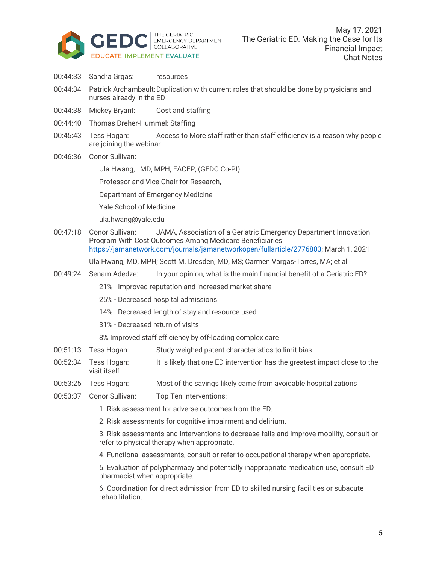

- 00:44:33 Sandra Grgas: resources
- 00:44:34 Patrick Archambault: Duplication with current roles that should be done by physicians and nurses already in the ED
- 00:44:38 Mickey Bryant: Cost and staffing
- 00:44:40 Thomas Dreher-Hummel: Staffing
- 00:45:43 Tess Hogan: Access to More staff rather than staff efficiency is a reason why people are joining the webinar
- 00:46:36 Conor Sullivan:

Ula Hwang, MD, MPH, FACEP, (GEDC Co-PI)

Professor and Vice Chair for Research,

Department of Emergency Medicine

Yale School of Medicine

ula.hwang@yale.edu

00:47:18 Conor Sullivan: JAMA, Association of a Geriatric Emergency Department Innovation Program With Cost Outcomes Among Medicare Beneficiaries https://jamanetwork.com/journals/jamanetworkopen/fullarticle/2776803; March 1, 2021

Ula Hwang, MD, MPH; Scott M. Dresden, MD, MS; Carmen Vargas-Torres, MA; et al

00:49:24 Senam Adedze: In your opinion, what is the main financial benefit of a Geriatric ED?

21% - Improved reputation and increased market share

- 25% Decreased hospital admissions
- 14% Decreased length of stay and resource used

31% - Decreased return of visits

8% Improved staff efficiency by off-loading complex care

- 00:51:13 Tess Hogan: Study weighed patent characteristics to limit bias
- 00:52:34 Tess Hogan: It is likely that one ED intervention has the greatest impact close to the visit itself
- 00:53:25 Tess Hogan: Most of the savings likely came from avoidable hospitalizations
- 00:53:37 Conor Sullivan: Top Ten interventions:
	- 1. Risk assessment for adverse outcomes from the ED.
	- 2. Risk assessments for cognitive impairment and delirium.

3. Risk assessments and interventions to decrease falls and improve mobility, consult or refer to physical therapy when appropriate.

4. Functional assessments, consult or refer to occupational therapy when appropriate.

5. Evaluation of polypharmacy and potentially inappropriate medication use, consult ED pharmacist when appropriate.

6. Coordination for direct admission from ED to skilled nursing facilities or subacute rehabilitation.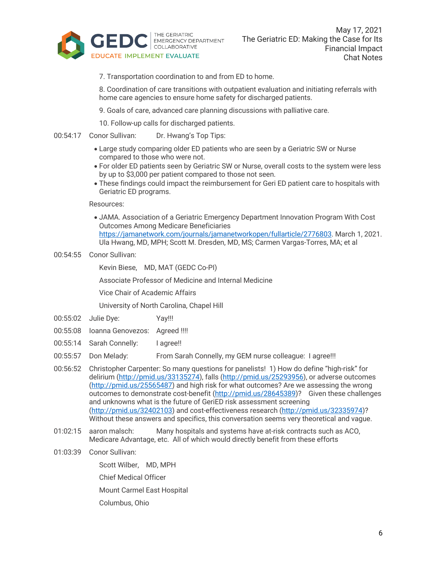

7. Transportation coordination to and from ED to home.

8. Coordination of care transitions with outpatient evaluation and initiating referrals with home care agencies to ensure home safety for discharged patients.

9. Goals of care, advanced care planning discussions with palliative care.

10. Follow-up calls for discharged patients.

- 00:54:17 Conor Sullivan: Dr. Hwang's Top Tips:
	- Large study comparing older ED patients who are seen by a Geriatric SW or Nurse compared to those who were not.
	- For older ED patients seen by Geriatric SW or Nurse, overall costs to the system were less by up to \$3,000 per patient compared to those not seen.
	- These findings could impact the reimbursement for Geri ED patient care to hospitals with Geriatric ED programs.

Resources:

- JAMA. Association of a Geriatric Emergency Department Innovation Program With Cost Outcomes Among Medicare Beneficiaries https://jamanetwork.com/journals/jamanetworkopen/fullarticle/2776803. March 1, 2021. Ula Hwang, MD, MPH; Scott M. Dresden, MD, MS; Carmen Vargas-Torres, MA; et al
- 00:54:55 Conor Sullivan:

Kevin Biese, MD, MAT (GEDC Co-PI)

Associate Professor of Medicine and Internal Medicine

Vice Chair of Academic Affairs

University of North Carolina, Chapel Hill

- 00:55:02 Julie Dye: Yay!!!
- 00:55:08 Ioanna Genovezos: Agreed !!!!
- 00:55:14 Sarah Connelly: I agree!!
- 00:55:57 Don Melady: From Sarah Connelly, my GEM nurse colleague: I agree!!!
- 00:56:52 Christopher Carpenter: So many questions for panelists! 1) How do define "high-risk" for delirium (http://pmid.us/33135274), falls (http://pmid.us/25293956), or adverse outcomes (http://pmid.us/25565487) and high risk for what outcomes? Are we assessing the wrong outcomes to demonstrate cost-benefit (http://pmid.us/28645389)? Given these challenges and unknowns what is the future of GeriED risk assessment screening (http://pmid.us/32402103) and cost-effectiveness research (http://pmid.us/32335974)? Without these answers and specifics, this conversation seems very theoretical and vague.
- 01:02:15 aaron malsch: Many hospitals and systems have at-risk contracts such as ACO, Medicare Advantage, etc. All of which would directly benefit from these efforts
- 01:03:39 Conor Sullivan:

Scott Wilber, MD, MPH

Chief Medical Officer

Mount Carmel East Hospital

Columbus, Ohio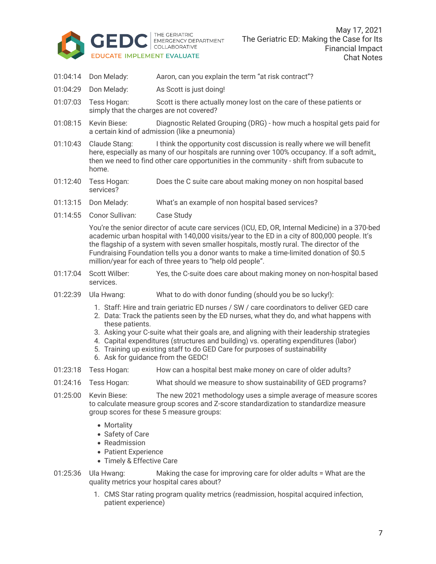

- 01:04:14 Don Melady: Aaron, can you explain the term "at risk contract"?
- 01:04:29 Don Melady: As Scott is just doing!
- 01:07:03 Tess Hogan: Scott is there actually money lost on the care of these patients or simply that the charges are not covered?
- 01:08:15 Kevin Biese: Diagnostic Related Grouping (DRG) how much a hospital gets paid for a certain kind of admission (like a pneumonia)
- 01:10:43 Claude Stang: I think the opportunity cost discussion is really where we will benefit here, especially as many of our hospitals are running over 100% occupancy. If a soft admit, then we need to find other care opportunities in the community - shift from subacute to home.
- 01:12:40 Tess Hogan: Does the C suite care about making money on non hospital based services?
- 01:13:15 Don Melady: What's an example of non hospital based services?
- 01:14:55 Conor Sullivan: Case Study

You're the senior director of acute care services (ICU, ED, OR, Internal Medicine) in a 370-bed academic urban hospital with 140,000 visits/year to the ED in a city of 800,000 people. It's the flagship of a system with seven smaller hospitals, mostly rural. The director of the Fundraising Foundation tells you a donor wants to make a time-limited donation of \$0.5 million/year for each of three years to "help old people".

- 01:17:04 Scott Wilber: Yes, the C-suite does care about making money on non-hospital based services.
- 01:22:39 Ula Hwang: What to do with donor funding (should you be so lucky!):
	- 1. Staff: Hire and train geriatric ED nurses / SW / care coordinators to deliver GED care
	- 2. Data: Track the patients seen by the ED nurses, what they do, and what happens with these patients.
	- 3. Asking your C-suite what their goals are, and aligning with their leadership strategies
	- 4. Capital expenditures (structures and building) vs. operating expenditures (labor)
	- 5. Training up existing staff to do GED Care for purposes of sustainability
	- 6. Ask for guidance from the GEDC!
- 01:23:18 Tess Hogan: How can a hospital best make money on care of older adults?
- 01:24:16 Tess Hogan: What should we measure to show sustainability of GED programs?
- 01:25:00 Kevin Biese: The new 2021 methodology uses a simple average of measure scores to calculate measure group scores and Z-score standardization to standardize measure group scores for these 5 measure groups:
	- Mortality
	- Safety of Care
	- Readmission
	- Patient Experience
	- Timely & Effective Care
- 01:25:36 Ula Hwang: Making the case for improving care for older adults = What are the quality metrics your hospital cares about?
	- 1. CMS Star rating program quality metrics (readmission, hospital acquired infection, patient experience)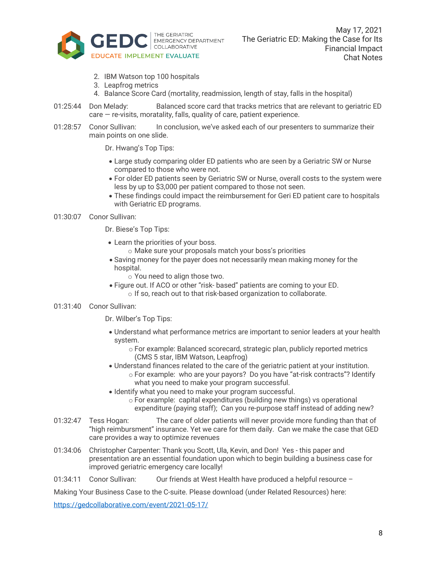

- 2. IBM Watson top 100 hospitals
- 3. Leapfrog metrics
- 4. Balance Score Card (mortality, readmission, length of stay, falls in the hospital)
- 01:25:44 Don Melady: Balanced score card that tracks metrics that are relevant to geriatric ED  $care - re-visits$ , moratality, falls, quality of care, patient experience.
- 01:28:57 Conor Sullivan: In conclusion, we've asked each of our presenters to summarize their main points on one slide.
	- Dr. Hwang's Top Tips:
	- Large study comparing older ED patients who are seen by a Geriatric SW or Nurse compared to those who were not.
	- For older ED patients seen by Geriatric SW or Nurse, overall costs to the system were less by up to \$3,000 per patient compared to those not seen.
	- These findings could impact the reimbursement for Geri ED patient care to hospitals with Geriatric ED programs.

## 01:30:07 Conor Sullivan:

Dr. Biese's Top Tips:

- Learn the priorities of your boss.
	- o Make sure your proposals match your boss's priorities
- Saving money for the payer does not necessarily mean making money for the hospital.
	- o You need to align those two.
- Figure out. If ACO or other "risk- based" patients are coming to your ED. o If so, reach out to that risk-based organization to collaborate.

## 01:31:40 Conor Sullivan:

Dr. Wilber's Top Tips:

- Understand what performance metrics are important to senior leaders at your health system.
	- o For example: Balanced scorecard, strategic plan, publicly reported metrics (CMS 5 star, IBM Watson, Leapfrog)
- Understand finances related to the care of the geriatric patient at your institution. o For example: who are your payors? Do you have "at-risk contracts"? Identify what you need to make your program successful.
- Identify what you need to make your program successful.
	- o For example: capital expenditures (building new things) vs operational expenditure (paying staff); Can you re-purpose staff instead of adding new?
- 01:32:47 Tess Hogan: The care of older patients will never provide more funding than that of "high reimbursment" insurance. Yet we care for them daily. Can we make the case that GED care provides a way to optimize revenues
- 01:34:06 Christopher Carpenter: Thank you Scott, Ula, Kevin, and Don! Yes this paper and presentation are an essential foundation upon which to begin building a business case for improved geriatric emergency care locally!
- 01:34:11 Conor Sullivan: Our friends at West Health have produced a helpful resource –

Making Your Business Case to the C-suite. Please download (under Related Resources) here:

https://gedcollaborative.com/event/2021-05-17/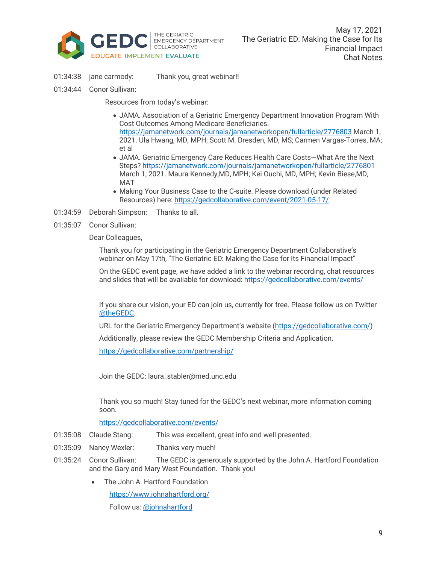

- 01:34:38 jane carmody: Thank you, great webinar!!
- 01:34:44 Conor Sullivan:

Resources from today's webinar:

- JAMA. Association of a Geriatric Emergency Department Innovation Program With Cost Outcomes Among Medicare Beneficiaries. https://jamanetwork.com/journals/jamanetworkopen/fullarticle/2776803 March 1, 2021. Ula Hwang, MD, MPH; Scott M. Dresden, MD, MS; Carmen Vargas-Torres, MA; et al
- JAMA. Geriatric Emergency Care Reduces Health Care Costs—What Are the Next Steps? https://jamanetwork.com/journals/jamanetworkopen/fullarticle/2776801 March 1, 2021. Maura Kennedy,MD, MPH; Kei Ouchi, MD, MPH; Kevin Biese,MD, MAT
- Making Your Business Case to the C-suite. Please download (under Related Resources) here: https://gedcollaborative.com/event/2021-05-17/
- 01:34:59 Deborah Simpson: Thanks to all.
- 01:35:07 Conor Sullivan:

Dear Colleagues,

Thank you for participating in the Geriatric Emergency Department Collaborative's webinar on May 17th, "The Geriatric ED: Making the Case for Its Financial Impact"

On the GEDC event page, we have added a link to the webinar recording, chat resources and slides that will be available for download: https://gedcollaborative.com/events/

If you share our vision, your ED can join us, currently for free. Please follow us on Twitter @theGEDC.

URL for the Geriatric Emergency Department's website (https://gedcollaborative.com/)

Additionally, please review the GEDC Membership Criteria and Application.

https://gedcollaborative.com/partnership/

Join the GEDC: laura\_stabler@med.unc.edu

Thank you so much! Stay tuned for the GEDC's next webinar, more information coming soon.

https://gedcollaborative.com/events/

- 01:35:08 Claude Stang: This was excellent, great info and well presented.
- 01:35:09 Nancy Wexler: Thanks very much!
- 01:35:24 Conor Sullivan: The GEDC is generously supported by the John A. Hartford Foundation and the Gary and Mary West Foundation. Thank you!
	- The John A. Hartford Foundation

https://www.johnahartford.org/

Follow us: @johnahartford